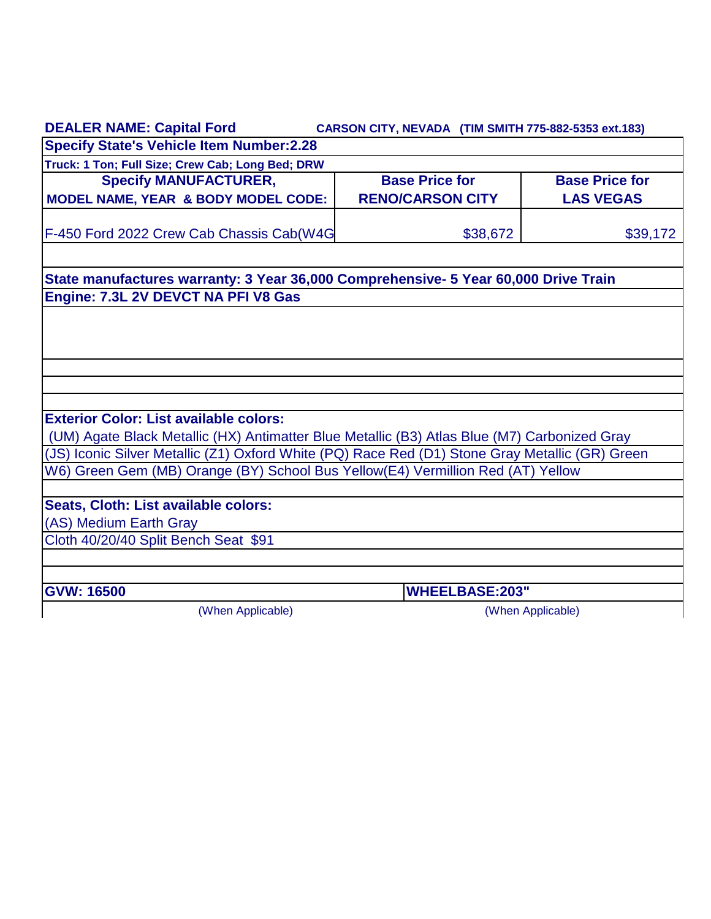| <b>DEALER NAME: Capital Ford</b>                                                                                                                                                   | CARSON CITY, NEVADA (TIM SMITH 775-882-5353 ext.183) |                                           |
|------------------------------------------------------------------------------------------------------------------------------------------------------------------------------------|------------------------------------------------------|-------------------------------------------|
| <b>Specify State's Vehicle Item Number:2.28</b>                                                                                                                                    |                                                      |                                           |
| Truck: 1 Ton; Full Size; Crew Cab; Long Bed; DRW                                                                                                                                   |                                                      |                                           |
| <b>Specify MANUFACTURER,</b><br><b>MODEL NAME, YEAR &amp; BODY MODEL CODE:</b>                                                                                                     | <b>Base Price for</b><br><b>RENO/CARSON CITY</b>     | <b>Base Price for</b><br><b>LAS VEGAS</b> |
| F-450 Ford 2022 Crew Cab Chassis Cab(W4G                                                                                                                                           | \$38,672                                             | \$39,172                                  |
| State manufactures warranty: 3 Year 36,000 Comprehensive- 5 Year 60,000 Drive Train                                                                                                |                                                      |                                           |
| Engine: 7.3L 2V DEVCT NA PFI V8 Gas                                                                                                                                                |                                                      |                                           |
|                                                                                                                                                                                    |                                                      |                                           |
|                                                                                                                                                                                    |                                                      |                                           |
|                                                                                                                                                                                    |                                                      |                                           |
|                                                                                                                                                                                    |                                                      |                                           |
|                                                                                                                                                                                    |                                                      |                                           |
| <b>Exterior Color: List available colors:</b>                                                                                                                                      |                                                      |                                           |
| (UM) Agate Black Metallic (HX) Antimatter Blue Metallic (B3) Atlas Blue (M7) Carbonized Gray                                                                                       |                                                      |                                           |
| (JS) Iconic Silver Metallic (Z1) Oxford White (PQ) Race Red (D1) Stone Gray Metallic (GR) Green<br>W6) Green Gem (MB) Orange (BY) School Bus Yellow(E4) Vermillion Red (AT) Yellow |                                                      |                                           |
|                                                                                                                                                                                    |                                                      |                                           |
| Seats, Cloth: List available colors:                                                                                                                                               |                                                      |                                           |
| (AS) Medium Earth Gray                                                                                                                                                             |                                                      |                                           |
| Cloth 40/20/40 Split Bench Seat \$91                                                                                                                                               |                                                      |                                           |
| <b>GVW: 16500</b>                                                                                                                                                                  | <b>WHEELBASE:203"</b>                                |                                           |
| (When Applicable)                                                                                                                                                                  |                                                      | (When Applicable)                         |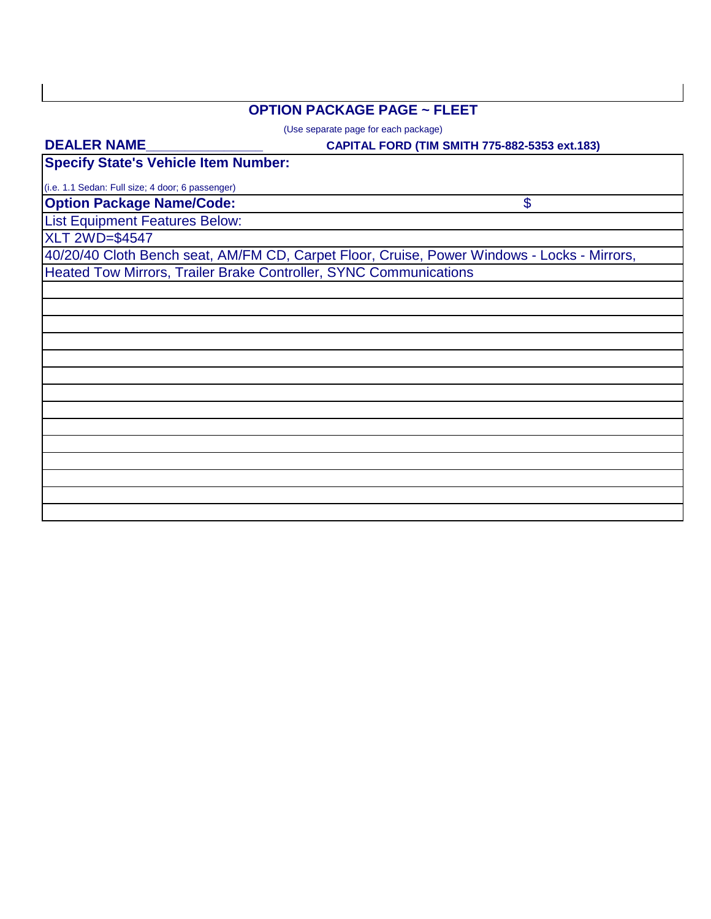## **OPTION PACKAGE PAGE ~ FLEET**

(Use separate page for each package)

#### **CAPITAL FORD (TIM SMITH 775-882-5353 ext.183)**

\$

**DEALER NAME\_\_\_\_\_\_\_\_\_\_\_\_\_\_\_**

**Specify State's Vehicle Item Number:**

**Option Package Name/Code:** (i.e. 1.1 Sedan: Full size; 4 door; 6 passenger)

List Equipment Features Below:

XLT 2WD=\$4547

40/20/40 Cloth Bench seat, AM/FM CD, Carpet Floor, Cruise, Power Windows - Locks - Mirrors, Heated Tow Mirrors, Trailer Brake Controller, SYNC Communications